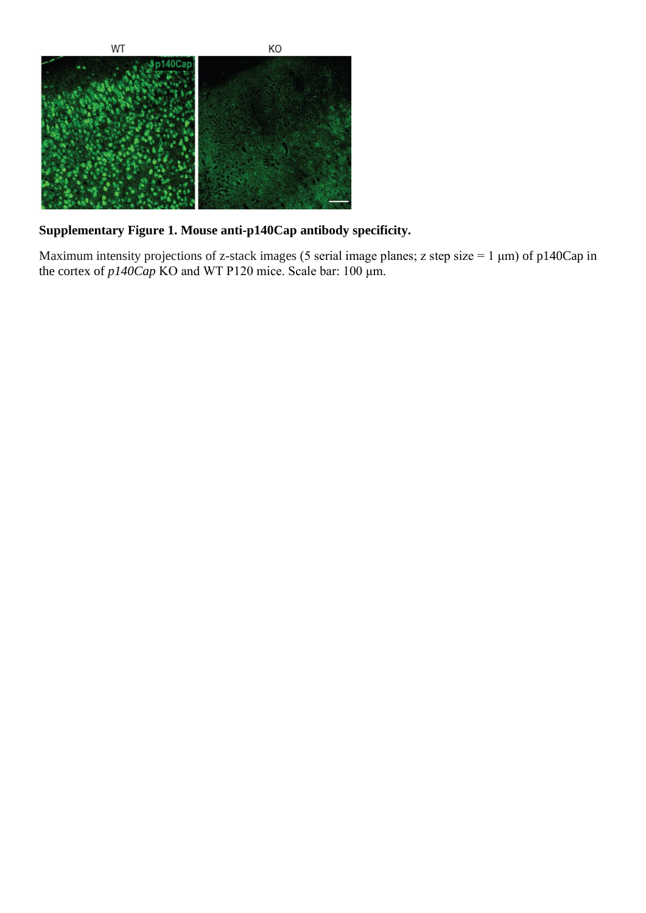

## **Supplementary Figure 1. Mouse anti-p140Cap antibody specificity.**

Maximum intensity projections of z-stack images (5 serial image planes; z step size = 1  $\mu$ m) of p140Cap in the cortex of *p140Cap* KO and WT P120 mice. Scale bar: 100 μm.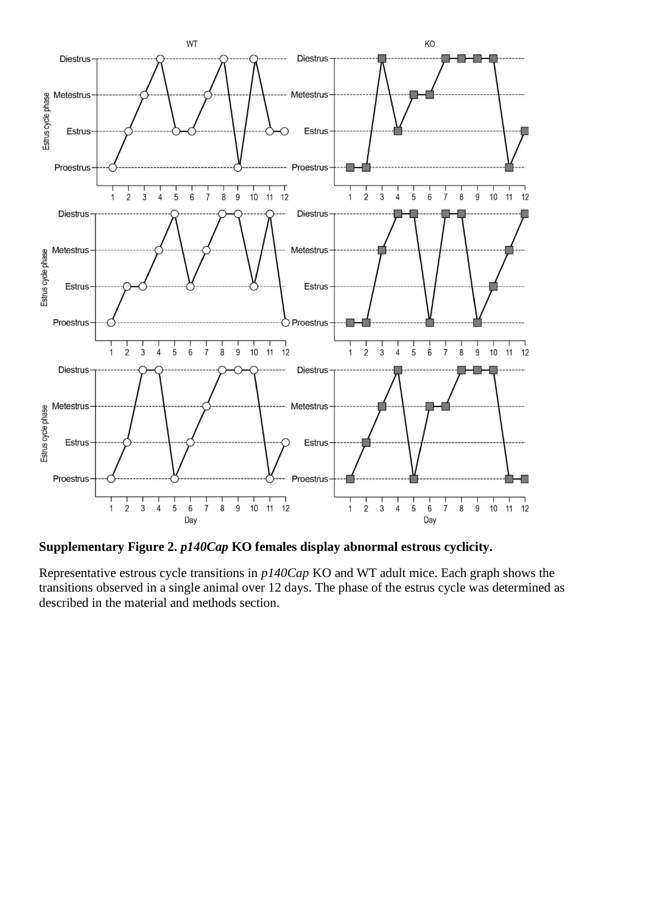

**Supplementary Figure 2.** *p140Cap* **KO females display abnormal estrous cyclicity.**

Representative estrous cycle transitions in *p140Cap* KO and WT adult mice. Each graph shows the transitions observed in a single animal over 12 days. The phase of the estrus cycle was determined as described in the material and methods section.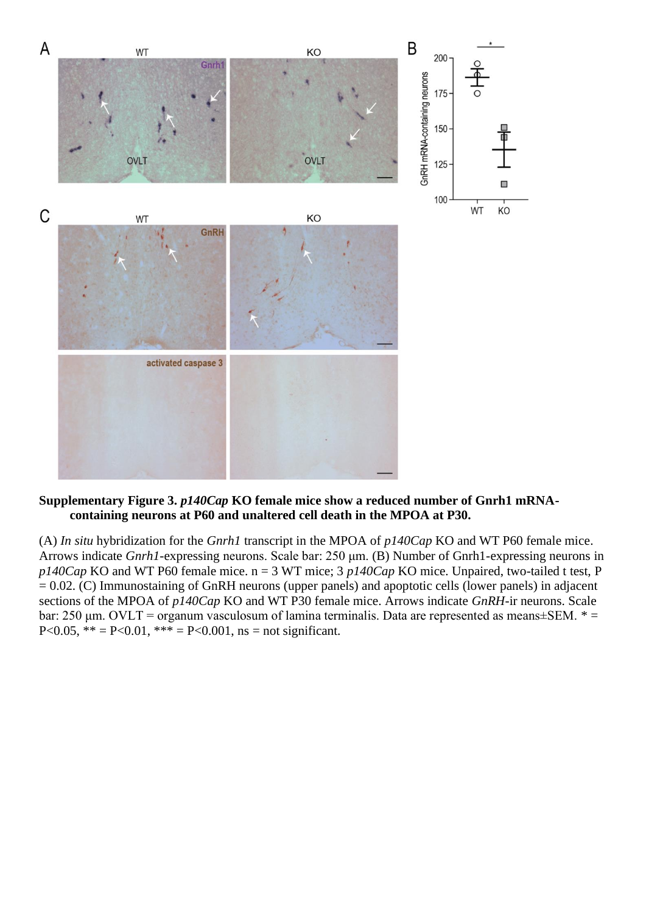

## **Supplementary Figure 3.** *p140Cap* **KO female mice show a reduced number of Gnrh1 mRNAcontaining neurons at P60 and unaltered cell death in the MPOA at P30.**

(A) *In situ* hybridization for the *Gnrh1* transcript in the MPOA of *p140Cap* KO and WT P60 female mice. Arrows indicate *Gnrh1*-expressing neurons. Scale bar: 250 μm. (B) Number of Gnrh1-expressing neurons in *p140Cap* KO and WT P60 female mice. n = 3 WT mice; 3 *p140Cap* KO mice. Unpaired, two-tailed t test, P  $= 0.02$ . (C) Immunostaining of GnRH neurons (upper panels) and apoptotic cells (lower panels) in adjacent sections of the MPOA of *p140Cap* KO and WT P30 female mice. Arrows indicate *GnRH*-ir neurons. Scale bar: 250 μm. OVLT = organum vasculosum of lamina terminalis. Data are represented as means±SEM. \* = P<0.05, \*\* = P<0.01, \*\*\* = P<0.001, ns = not significant.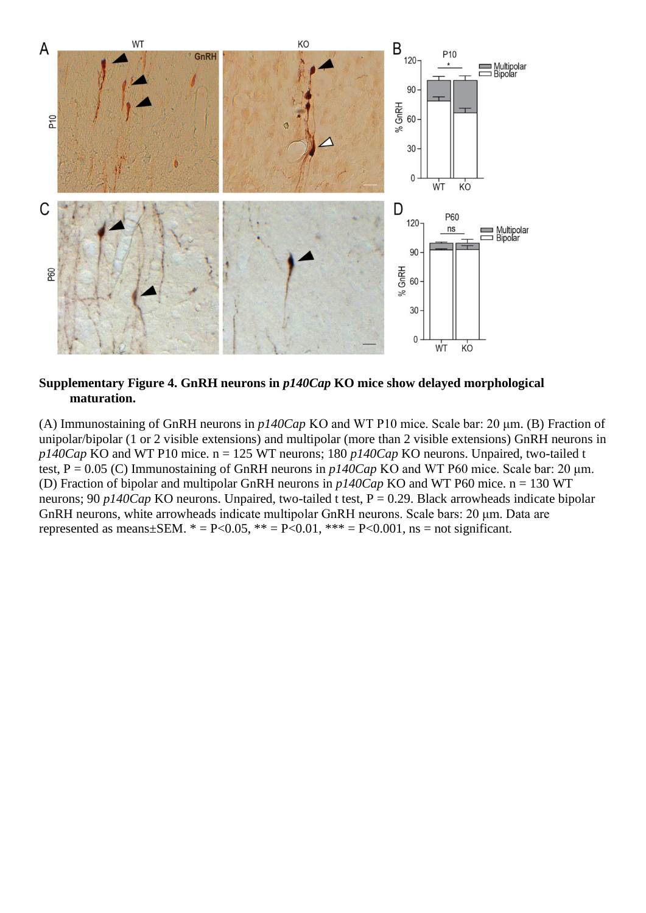

**Supplementary Figure 4. GnRH neurons in** *p140Cap* **KO mice show delayed morphological maturation.**

(A) Immunostaining of GnRH neurons in *p140Cap* KO and WT P10 mice. Scale bar: 20 μm. (B) Fraction of unipolar/bipolar (1 or 2 visible extensions) and multipolar (more than 2 visible extensions) GnRH neurons in *p140Cap* KO and WT P10 mice. n = 125 WT neurons; 180 *p140Cap* KO neurons. Unpaired, two-tailed t test, P = 0.05 (C) Immunostaining of GnRH neurons in *p140Cap* KO and WT P60 mice. Scale bar: 20 μm. (D) Fraction of bipolar and multipolar GnRH neurons in *p140Cap* KO and WT P60 mice. n = 130 WT neurons; 90 *p140Cap* KO neurons. Unpaired, two-tailed t test, P = 0.29. Black arrowheads indicate bipolar GnRH neurons, white arrowheads indicate multipolar GnRH neurons. Scale bars: 20 μm. Data are represented as means $\pm$ SEM.  $* = P < 0.05$ ,  $** = P < 0.01$ ,  $** = P < 0.001$ , ns = not significant.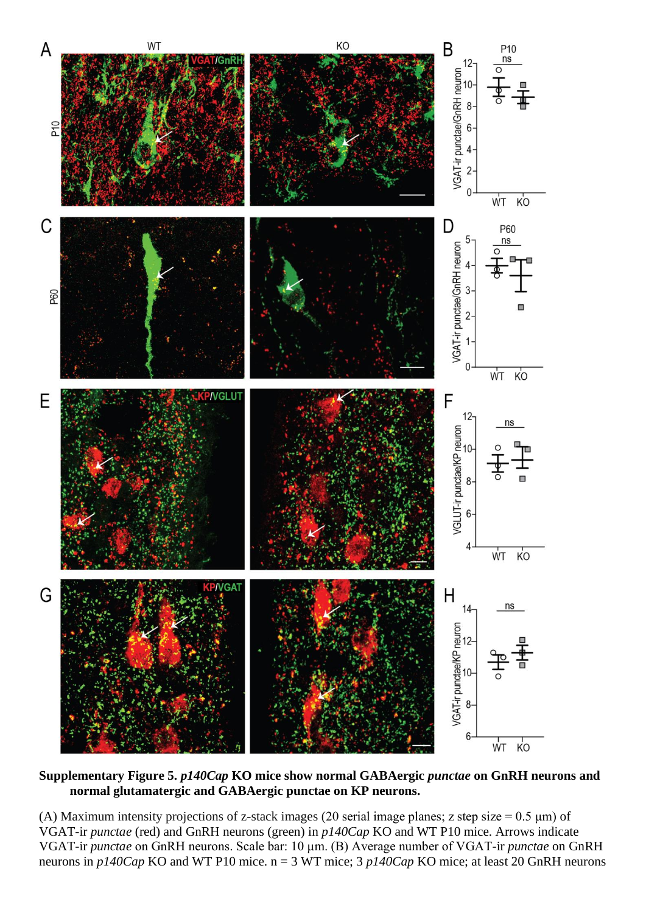

**Supplementary Figure 5.** *p140Cap* **KO mice show normal GABAergic** *punctae* **on GnRH neurons and normal glutamatergic and GABAergic punctae on KP neurons.**

(A) Maximum intensity projections of z-stack images (20 serial image planes; z step size =  $0.5 \mu m$ ) of VGAT-ir *punctae* (red) and GnRH neurons (green) in *p140Cap* KO and WT P10 mice. Arrows indicate VGAT-ir *punctae* on GnRH neurons. Scale bar: 10 μm. (B) Average number of VGAT-ir *punctae* on GnRH neurons in *p140Cap* KO and WT P10 mice. n = 3 WT mice; 3 *p140Cap* KO mice; at least 20 GnRH neurons